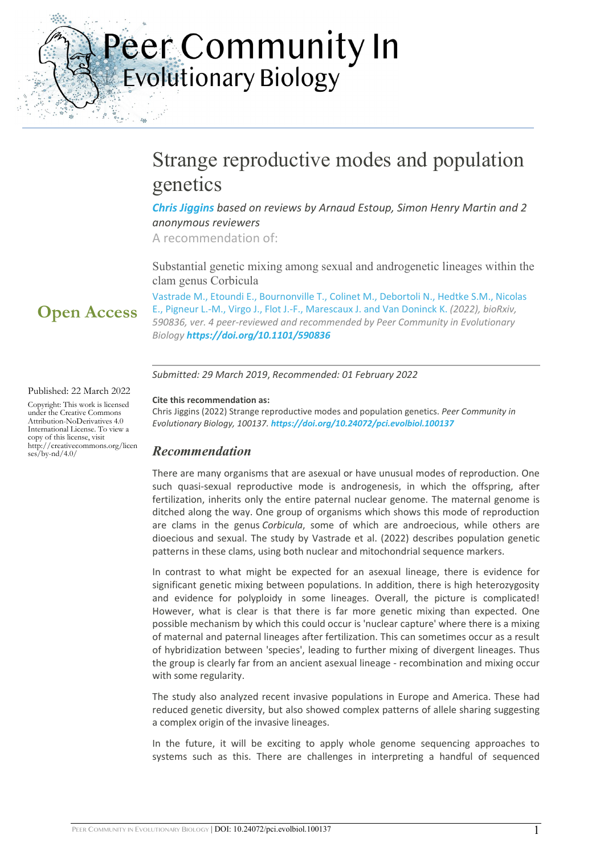Peer Community In<br>Evolutionary Biology

# Strange reproductive modes and population genetics

*[Chris Jiggins](https://evolbiol.peercommunityin.org/public/user_public_page?userId=869) based on reviews by Arnaud Estoup, Simon Henry Martin and 2 anonymous reviewers*

A recommendation of:

Substantial genetic mixing among sexual and androgenetic lineages within the clam genus Corbicula

Vastrade M., Etoundi E., Bournonville T., Colinet M., Debortoli N., Hedtke S.M., Nicolas E., Pigneur L.-M., Virgo J., Flot J.-F., Marescaux J. and Van Doninck K. *(2022), bioRxiv, 590836, ver. 4 peer-reviewed and recommended by Peer Community in Evolutionary Biology <https://doi.org/10.1101/590836>*

*Submitted: 29 March 2019*, *Recommended: 01 February 2022*

#### **Cite this recommendation as:**

Chris Jiggins (2022) Strange reproductive modes and population genetics. *Peer Community in Evolutionary Biology, 100137. <https://doi.org/10.24072/pci.evolbiol.100137>*

## *Recommendation*

There are many organisms that are asexual or have unusual modes of reproduction. One such quasi-sexual reproductive mode is androgenesis, in which the offspring, after fertilization, inherits only the entire paternal nuclear genome. The maternal genome is ditched along the way. One group of organisms which shows this mode of reproduction are clams in the genus *Corbicula*, some of which are androecious, while others are dioecious and sexual. The study by Vastrade et al. (2022) describes population genetic patterns in these clams, using both nuclear and mitochondrial sequence markers.

In contrast to what might be expected for an asexual lineage, there is evidence for significant genetic mixing between populations. In addition, there is high heterozygosity and evidence for polyploidy in some lineages. Overall, the picture is complicated! However, what is clear is that there is far more genetic mixing than expected. One possible mechanism by which this could occur is 'nuclear capture' where there is a mixing of maternal and paternal lineages after fertilization. This can sometimes occur as a result of hybridization between 'species', leading to further mixing of divergent lineages. Thus the group is clearly far from an ancient asexual lineage - recombination and mixing occur with some regularity.

The study also analyzed recent invasive populations in Europe and America. These had reduced genetic diversity, but also showed complex patterns of allele sharing suggesting a complex origin of the invasive lineages.

In the future, it will be exciting to apply whole genome sequencing approaches to systems such as this. There are challenges in interpreting a handful of sequenced

#### Published: 22 March 2022

**Open Access**

 $\mathcal{E}$ 

 $\mathcal{E}_{\text{NN}}^{\text{max}}$ 

Copyright: This work is licensed under the Creative Commons Attribution-NoDerivatives 4.0 International License. To view a copy of this license, visit http://creativecommons.org/licen  $ses/by-nd/4.0/$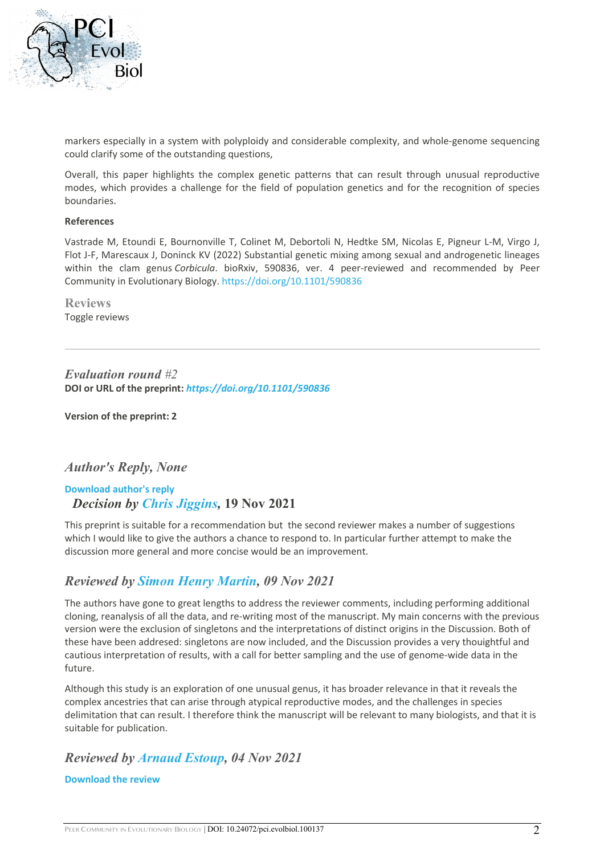

markers especially in a system with polyploidy and considerable complexity, and whole-genome sequencing could clarify some of the outstanding questions,

Overall, this paper highlights the complex genetic patterns that can result through unusual reproductive modes, which provides a challenge for the field of population genetics and for the recognition of species boundaries.

#### **References**

Vastrade M, Etoundi E, Bournonville T, Colinet M, Debortoli N, Hedtke SM, Nicolas E, Pigneur L-M, Virgo J, Flot J-F, Marescaux J, Doninck KV (2022) Substantial genetic mixing among sexual and androgenetic lineages within the clam genus *Corbicula*. bioRxiv, 590836, ver. 4 peer-reviewed and recommended by Peer Community in Evolutionary Biology. <https://doi.org/10.1101/590836>

**Reviews** Toggle reviews

*Evaluation round #2* **DOI or URL of the preprint:** *<https://doi.org/10.1101/590836>*

**Version of the preprint: 2**

## *Author's Reply, None*

**[Download author's reply](https://evolbiol.peercommunityin.org/download/t_recommendations.reply_pdf.877785ace6958554.4465636973696f6e20616e64207265636f6d6d616e646174696f6e202d20726f756e6420322046696e616c20616e737765722e706466.pdf)** *Decision by [Chris Jiggins,](https://evolbiol.peercommunityin.org/public/user_public_page?userId=869)* **19 Nov 2021**

This preprint is suitable for a recommendation but the second reviewer makes a number of suggestions which I would like to give the authors a chance to respond to. In particular further attempt to make the discussion more general and more concise would be an improvement.

## *Reviewed by [Simon Henry Martin,](https://evolbiol.peercommunityin.org/public/user_public_page?userId=1239) 09 Nov 2021*

The authors have gone to great lengths to address the reviewer comments, including performing additional cloning, reanalysis of all the data, and re-writing most of the manuscript. My main concerns with the previous version were the exclusion of singletons and the interpretations of distinct origins in the Discussion. Both of these have been addresed: singletons are now included, and the Discussion provides a very thouightful and cautious interpretation of results, with a call for better sampling and the use of genome-wide data in the future.

Although this study is an exploration of one unusual genus, it has broader relevance in that it reveals the complex ancestries that can arise through atypical reproductive modes, and the challenges in species delimitation that can result. I therefore think the manuscript will be relevant to many biologists, and that it is suitable for publication.

## *Reviewed by [Arnaud Estoup,](https://evolbiol.peercommunityin.org/public/user_public_page?userId=383) 04 Nov 2021*

#### **[Download the review](https://evolbiol.peercommunityin.org/download/t_reviews.review_pdf.867279f5ff60a0cf.566173747261646520657420616c5f7265766965775f5043495f45766f42696f6c5f41726e6175645f4573746f75702e706466.pdf)**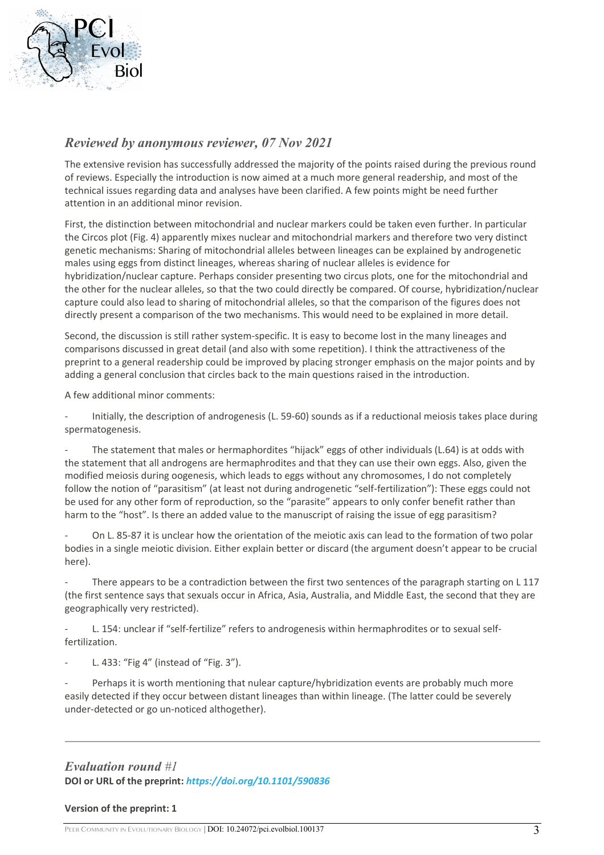

## *Reviewed by anonymous reviewer, 07 Nov 2021*

The extensive revision has successfully addressed the majority of the points raised during the previous round of reviews. Especially the introduction is now aimed at a much more general readership, and most of the technical issues regarding data and analyses have been clarified. A few points might be need further attention in an additional minor revision.

First, the distinction between mitochondrial and nuclear markers could be taken even further. In particular the Circos plot (Fig. 4) apparently mixes nuclear and mitochondrial markers and therefore two very distinct genetic mechanisms: Sharing of mitochondrial alleles between lineages can be explained by androgenetic males using eggs from distinct lineages, whereas sharing of nuclear alleles is evidence for hybridization/nuclear capture. Perhaps consider presenting two circus plots, one for the mitochondrial and the other for the nuclear alleles, so that the two could directly be compared. Of course, hybridization/nuclear capture could also lead to sharing of mitochondrial alleles, so that the comparison of the figures does not directly present a comparison of the two mechanisms. This would need to be explained in more detail.

Second, the discussion is still rather system-specific. It is easy to become lost in the many lineages and comparisons discussed in great detail (and also with some repetition). I think the attractiveness of the preprint to a general readership could be improved by placing stronger emphasis on the major points and by adding a general conclusion that circles back to the main questions raised in the introduction.

A few additional minor comments:

Initially, the description of androgenesis (L. 59-60) sounds as if a reductional meiosis takes place during spermatogenesis.

The statement that males or hermaphordites "hijack" eggs of other individuals (L.64) is at odds with the statement that all androgens are hermaphrodites and that they can use their own eggs. Also, given the modified meiosis during oogenesis, which leads to eggs without any chromosomes, I do not completely follow the notion of "parasitism" (at least not during androgenetic "self-fertilization"): These eggs could not be used for any other form of reproduction, so the "parasite" appears to only confer benefit rather than harm to the "host". Is there an added value to the manuscript of raising the issue of egg parasitism?

- On L. 85-87 it is unclear how the orientation of the meiotic axis can lead to the formation of two polar bodies in a single meiotic division. Either explain better or discard (the argument doesn't appear to be crucial here).

There appears to be a contradiction between the first two sentences of the paragraph starting on L 117 (the first sentence says that sexuals occur in Africa, Asia, Australia, and Middle East, the second that they are geographically very restricted).

L. 154: unclear if "self-fertilize" refers to androgenesis within hermaphrodites or to sexual selffertilization.

L. 433: "Fig 4" (instead of "Fig. 3").

Perhaps it is worth mentioning that nulear capture/hybridization events are probably much more easily detected if they occur between distant lineages than within lineage. (The latter could be severely under-detected or go un-noticed althogether).

*Evaluation round #1* **DOI or URL of the preprint:** *<https://doi.org/10.1101/590836>*

#### **Version of the preprint: 1**

PEER COMMUNITY IN EVOLUTIONARY BIOLOGY | DOI: 10.24072/pci.evolbiol.100137 3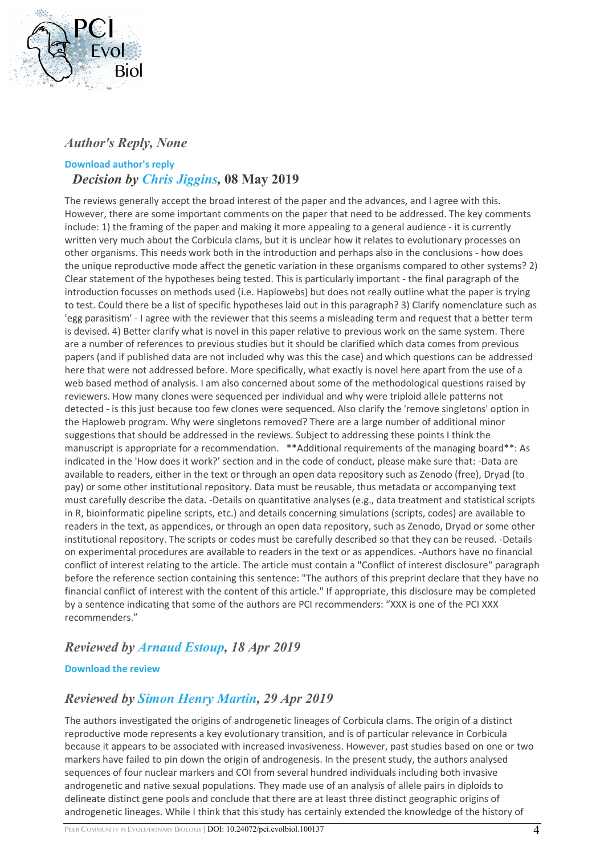

## *Author's Reply, None*

## **[Download author's reply](https://evolbiol.peercommunityin.org/download/t_recommendations.reply_pdf.934e6fbe67469747.4465636973696f6e202620636f6d6d656e74735f616e7377657220746f2074686520726576696577657273205043492e706466.pdf)** *Decision by [Chris Jiggins,](https://evolbiol.peercommunityin.org/public/user_public_page?userId=869)* **08 May 2019**

The reviews generally accept the broad interest of the paper and the advances, and I agree with this. However, there are some important comments on the paper that need to be addressed. The key comments include: 1) the framing of the paper and making it more appealing to a general audience - it is currently written very much about the Corbicula clams, but it is unclear how it relates to evolutionary processes on other organisms. This needs work both in the introduction and perhaps also in the conclusions - how does the unique reproductive mode affect the genetic variation in these organisms compared to other systems? 2) Clear statement of the hypotheses being tested. This is particularly important - the final paragraph of the introduction focusses on methods used (i.e. Haplowebs) but does not really outline what the paper is trying to test. Could there be a list of specific hypotheses laid out in this paragraph? 3) Clarify nomenclature such as 'egg parasitism' - I agree with the reviewer that this seems a misleading term and request that a better term is devised. 4) Better clarify what is novel in this paper relative to previous work on the same system. There are a number of references to previous studies but it should be clarified which data comes from previous papers (and if published data are not included why was this the case) and which questions can be addressed here that were not addressed before. More specifically, what exactly is novel here apart from the use of a web based method of analysis. I am also concerned about some of the methodological questions raised by reviewers. How many clones were sequenced per individual and why were triploid allele patterns not detected - is this just because too few clones were sequenced. Also clarify the 'remove singletons' option in the Haploweb program. Why were singletons removed? There are a large number of additional minor suggestions that should be addressed in the reviews. Subject to addressing these points I think the manuscript is appropriate for a recommendation. \*\*Additional requirements of the managing board\*\*: As indicated in the 'How does it work?' section and in the code of conduct, please make sure that: -Data are available to readers, either in the text or through an open data repository such as Zenodo (free), Dryad (to pay) or some other institutional repository. Data must be reusable, thus metadata or accompanying text must carefully describe the data. -Details on quantitative analyses (e.g., data treatment and statistical scripts in R, bioinformatic pipeline scripts, etc.) and details concerning simulations (scripts, codes) are available to readers in the text, as appendices, or through an open data repository, such as Zenodo, Dryad or some other institutional repository. The scripts or codes must be carefully described so that they can be reused. -Details on experimental procedures are available to readers in the text or as appendices. -Authors have no financial conflict of interest relating to the article. The article must contain a "Conflict of interest disclosure" paragraph before the reference section containing this sentence: "The authors of this preprint declare that they have no financial conflict of interest with the content of this article." If appropriate, this disclosure may be completed by a sentence indicating that some of the authors are PCI recommenders: "XXX is one of the PCI XXX recommenders."

# *Reviewed by [Arnaud Estoup,](https://evolbiol.peercommunityin.org/public/user_public_page?userId=383) 18 Apr 2019*

## **[Download the review](https://evolbiol.peercommunityin.org/download/t_reviews.review_pdf.91946bcbc8051b04.5043492045766f6c42696f6c20456f756e646920657420616c2031362d30342d323031392e706466.pdf)**

# *Reviewed by [Simon Henry Martin,](https://evolbiol.peercommunityin.org/public/user_public_page?userId=1239) 29 Apr 2019*

The authors investigated the origins of androgenetic lineages of Corbicula clams. The origin of a distinct reproductive mode represents a key evolutionary transition, and is of particular relevance in Corbicula because it appears to be associated with increased invasiveness. However, past studies based on one or two markers have failed to pin down the origin of androgenesis. In the present study, the authors analysed sequences of four nuclear markers and COI from several hundred individuals including both invasive androgenetic and native sexual populations. They made use of an analysis of allele pairs in diploids to delineate distinct gene pools and conclude that there are at least three distinct geographic origins of androgenetic lineages. While I think that this study has certainly extended the knowledge of the history of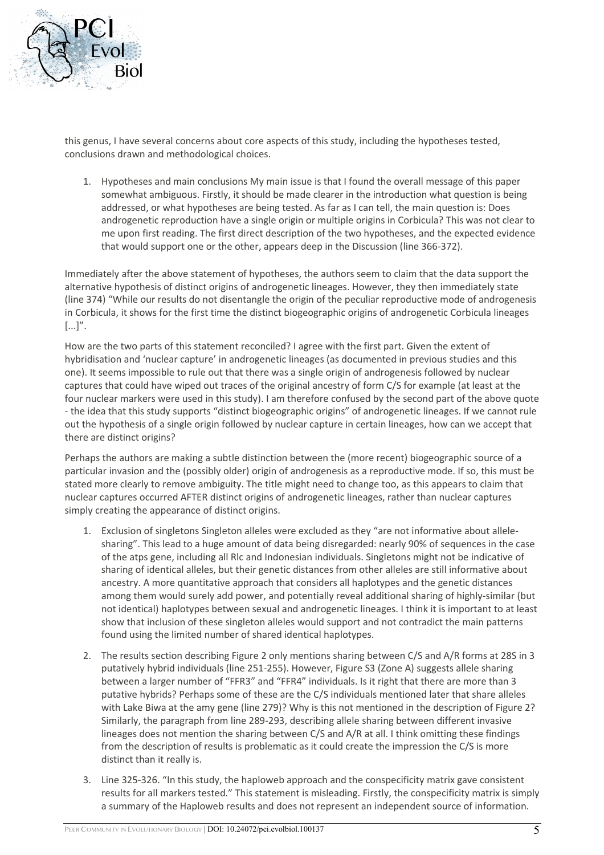

this genus, I have several concerns about core aspects of this study, including the hypotheses tested, conclusions drawn and methodological choices.

1. Hypotheses and main conclusions My main issue is that I found the overall message of this paper somewhat ambiguous. Firstly, it should be made clearer in the introduction what question is being addressed, or what hypotheses are being tested. As far as I can tell, the main question is: Does androgenetic reproduction have a single origin or multiple origins in Corbicula? This was not clear to me upon first reading. The first direct description of the two hypotheses, and the expected evidence that would support one or the other, appears deep in the Discussion (line 366-372).

Immediately after the above statement of hypotheses, the authors seem to claim that the data support the alternative hypothesis of distinct origins of androgenetic lineages. However, they then immediately state (line 374) "While our results do not disentangle the origin of the peculiar reproductive mode of androgenesis in Corbicula, it shows for the first time the distinct biogeographic origins of androgenetic Corbicula lineages  $[\ldots]$ ".

How are the two parts of this statement reconciled? I agree with the first part. Given the extent of hybridisation and 'nuclear capture' in androgenetic lineages (as documented in previous studies and this one). It seems impossible to rule out that there was a single origin of androgenesis followed by nuclear captures that could have wiped out traces of the original ancestry of form C/S for example (at least at the four nuclear markers were used in this study). I am therefore confused by the second part of the above quote - the idea that this study supports "distinct biogeographic origins" of androgenetic lineages. If we cannot rule out the hypothesis of a single origin followed by nuclear capture in certain lineages, how can we accept that there are distinct origins?

Perhaps the authors are making a subtle distinction between the (more recent) biogeographic source of a particular invasion and the (possibly older) origin of androgenesis as a reproductive mode. If so, this must be stated more clearly to remove ambiguity. The title might need to change too, as this appears to claim that nuclear captures occurred AFTER distinct origins of androgenetic lineages, rather than nuclear captures simply creating the appearance of distinct origins.

- 1. Exclusion of singletons Singleton alleles were excluded as they "are not informative about allelesharing". This lead to a huge amount of data being disregarded: nearly 90% of sequences in the case of the atps gene, including all Rlc and Indonesian individuals. Singletons might not be indicative of sharing of identical alleles, but their genetic distances from other alleles are still informative about ancestry. A more quantitative approach that considers all haplotypes and the genetic distances among them would surely add power, and potentially reveal additional sharing of highly-similar (but not identical) haplotypes between sexual and androgenetic lineages. I think it is important to at least show that inclusion of these singleton alleles would support and not contradict the main patterns found using the limited number of shared identical haplotypes.
- 2. The results section describing Figure 2 only mentions sharing between C/S and A/R forms at 28S in 3 putatively hybrid individuals (line 251-255). However, Figure S3 (Zone A) suggests allele sharing between a larger number of "FFR3" and "FFR4" individuals. Is it right that there are more than 3 putative hybrids? Perhaps some of these are the C/S individuals mentioned later that share alleles with Lake Biwa at the amy gene (line 279)? Why is this not mentioned in the description of Figure 2? Similarly, the paragraph from line 289-293, describing allele sharing between different invasive lineages does not mention the sharing between C/S and A/R at all. I think omitting these findings from the description of results is problematic as it could create the impression the C/S is more distinct than it really is.
- 3. Line 325-326. "In this study, the haploweb approach and the conspecificity matrix gave consistent results for all markers tested." This statement is misleading. Firstly, the conspecificity matrix is simply a summary of the Haploweb results and does not represent an independent source of information.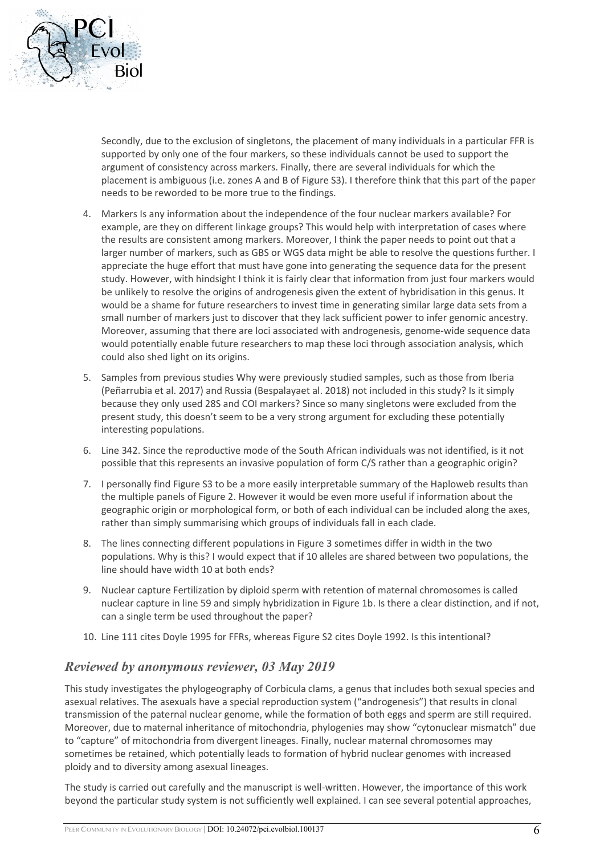

Secondly, due to the exclusion of singletons, the placement of many individuals in a particular FFR is supported by only one of the four markers, so these individuals cannot be used to support the argument of consistency across markers. Finally, there are several individuals for which the placement is ambiguous (i.e. zones A and B of Figure S3). I therefore think that this part of the paper needs to be reworded to be more true to the findings.

- 4. Markers Is any information about the independence of the four nuclear markers available? For example, are they on different linkage groups? This would help with interpretation of cases where the results are consistent among markers. Moreover, I think the paper needs to point out that a larger number of markers, such as GBS or WGS data might be able to resolve the questions further. I appreciate the huge effort that must have gone into generating the sequence data for the present study. However, with hindsight I think it is fairly clear that information from just four markers would be unlikely to resolve the origins of androgenesis given the extent of hybridisation in this genus. It would be a shame for future researchers to invest time in generating similar large data sets from a small number of markers just to discover that they lack sufficient power to infer genomic ancestry. Moreover, assuming that there are loci associated with androgenesis, genome-wide sequence data would potentially enable future researchers to map these loci through association analysis, which could also shed light on its origins.
- 5. Samples from previous studies Why were previously studied samples, such as those from Iberia (Peñarrubia et al. 2017) and Russia (Bespalayaet al. 2018) not included in this study? Is it simply because they only used 28S and COI markers? Since so many singletons were excluded from the present study, this doesn't seem to be a very strong argument for excluding these potentially interesting populations.
- 6. Line 342. Since the reproductive mode of the South African individuals was not identified, is it not possible that this represents an invasive population of form C/S rather than a geographic origin?
- 7. I personally find Figure S3 to be a more easily interpretable summary of the Haploweb results than the multiple panels of Figure 2. However it would be even more useful if information about the geographic origin or morphological form, or both of each individual can be included along the axes, rather than simply summarising which groups of individuals fall in each clade.
- 8. The lines connecting different populations in Figure 3 sometimes differ in width in the two populations. Why is this? I would expect that if 10 alleles are shared between two populations, the line should have width 10 at both ends?
- 9. Nuclear capture Fertilization by diploid sperm with retention of maternal chromosomes is called nuclear capture in line 59 and simply hybridization in Figure 1b. Is there a clear distinction, and if not, can a single term be used throughout the paper?
- 10. Line 111 cites Doyle 1995 for FFRs, whereas Figure S2 cites Doyle 1992. Is this intentional?

## *Reviewed by anonymous reviewer, 03 May 2019*

This study investigates the phylogeography of Corbicula clams, a genus that includes both sexual species and asexual relatives. The asexuals have a special reproduction system ("androgenesis") that results in clonal transmission of the paternal nuclear genome, while the formation of both eggs and sperm are still required. Moreover, due to maternal inheritance of mitochondria, phylogenies may show "cytonuclear mismatch" due to "capture" of mitochondria from divergent lineages. Finally, nuclear maternal chromosomes may sometimes be retained, which potentially leads to formation of hybrid nuclear genomes with increased ploidy and to diversity among asexual lineages.

The study is carried out carefully and the manuscript is well-written. However, the importance of this work beyond the particular study system is not sufficiently well explained. I can see several potential approaches,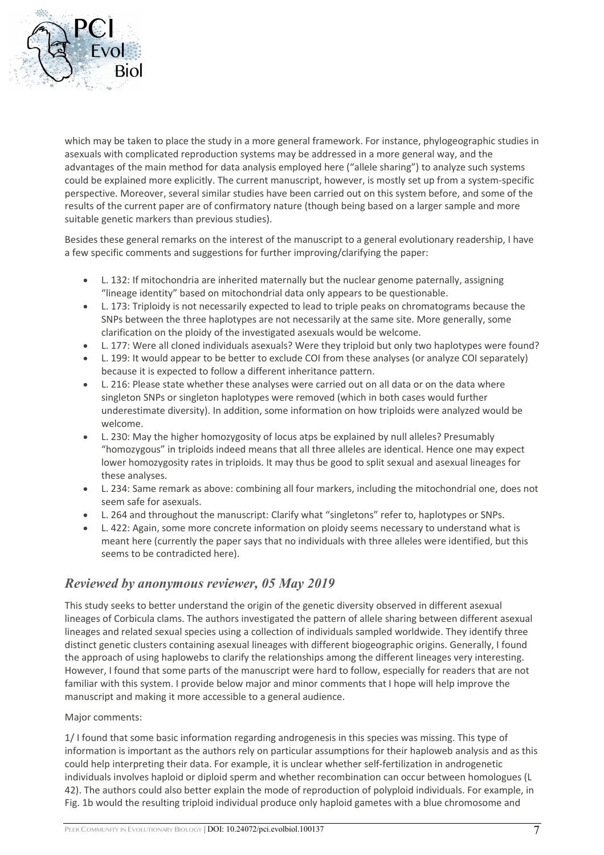

which may be taken to place the study in a more general framework. For instance, phylogeographic studies in asexuals with complicated reproduction systems may be addressed in a more general way, and the advantages of the main method for data analysis employed here ("allele sharing") to analyze such systems could be explained more explicitly. The current manuscript, however, is mostly set up from a system-specific perspective. Moreover, several similar studies have been carried out on this system before, and some of the results of the current paper are of confirmatory nature (though being based on a larger sample and more suitable genetic markers than previous studies).

Besides these general remarks on the interest of the manuscript to a general evolutionary readership, I have a few specific comments and suggestions for further improving/clarifying the paper:

- L. 132: If mitochondria are inherited maternally but the nuclear genome paternally, assigning "lineage identity" based on mitochondrial data only appears to be questionable.
- L. 173: Triploidy is not necessarily expected to lead to triple peaks on chromatograms because the SNPs between the three haplotypes are not necessarily at the same site. More generally, some clarification on the ploidy of the investigated asexuals would be welcome.
- L. 177: Were all cloned individuals asexuals? Were they triploid but only two haplotypes were found?
- L. 199: It would appear to be better to exclude COI from these analyses (or analyze COI separately) because it is expected to follow a different inheritance pattern.
- L. 216: Please state whether these analyses were carried out on all data or on the data where singleton SNPs or singleton haplotypes were removed (which in both cases would further underestimate diversity). In addition, some information on how triploids were analyzed would be welcome.
- L. 230: May the higher homozygosity of locus atps be explained by null alleles? Presumably "homozygous" in triploids indeed means that all three alleles are identical. Hence one may expect lower homozygosity rates in triploids. It may thus be good to split sexual and asexual lineages for these analyses.
- L. 234: Same remark as above: combining all four markers, including the mitochondrial one, does not seem safe for asexuals.
- L. 264 and throughout the manuscript: Clarify what "singletons" refer to, haplotypes or SNPs.
- L. 422: Again, some more concrete information on ploidy seems necessary to understand what is meant here (currently the paper says that no individuals with three alleles were identified, but this seems to be contradicted here).

## *Reviewed by anonymous reviewer, 05 May 2019*

This study seeks to better understand the origin of the genetic diversity observed in different asexual lineages of Corbicula clams. The authors investigated the pattern of allele sharing between different asexual lineages and related sexual species using a collection of individuals sampled worldwide. They identify three distinct genetic clusters containing asexual lineages with different biogeographic origins. Generally, I found the approach of using haplowebs to clarify the relationships among the different lineages very interesting. However, I found that some parts of the manuscript were hard to follow, especially for readers that are not familiar with this system. I provide below major and minor comments that I hope will help improve the manuscript and making it more accessible to a general audience.

#### Major comments:

1/ I found that some basic information regarding androgenesis in this species was missing. This type of information is important as the authors rely on particular assumptions for their haploweb analysis and as this could help interpreting their data. For example, it is unclear whether self-fertilization in androgenetic individuals involves haploid or diploid sperm and whether recombination can occur between homologues (L 42). The authors could also better explain the mode of reproduction of polyploid individuals. For example, in Fig. 1b would the resulting triploid individual produce only haploid gametes with a blue chromosome and